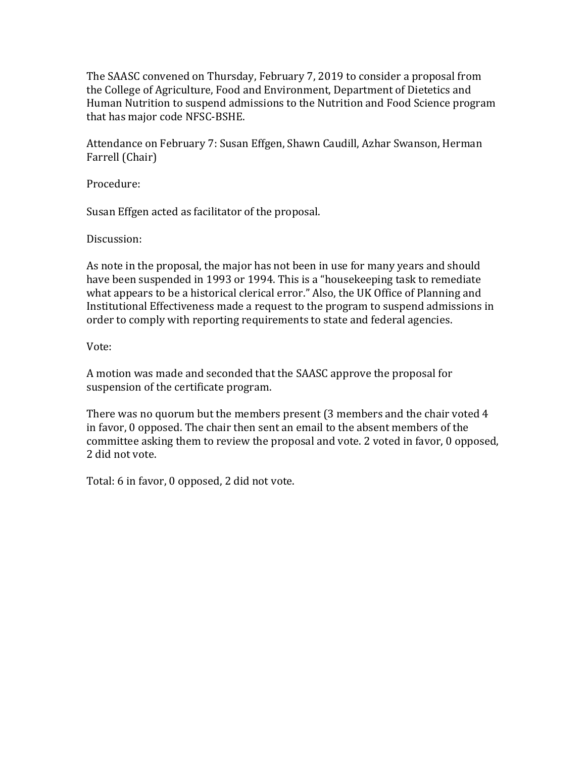The SAASC convened on Thursday, February 7, 2019 to consider a proposal from the College of Agriculture, Food and Environment, Department of Dietetics and Human Nutrition to suspend admissions to the Nutrition and Food Science program that has major code NFSC-BSHE.

Attendance on February 7: Susan Effgen, Shawn Caudill, Azhar Swanson, Herman Farrell (Chair)

Procedure:

Susan Effgen acted as facilitator of the proposal.

Discussion:

As note in the proposal, the major has not been in use for many years and should have been suspended in 1993 or 1994. This is a "housekeeping task to remediate what appears to be a historical clerical error." Also, the UK Office of Planning and Institutional Effectiveness made a request to the program to suspend admissions in order to comply with reporting requirements to state and federal agencies.

Vote:

A motion was made and seconded that the SAASC approve the proposal for suspension of the certificate program.

There was no quorum but the members present (3 members and the chair voted 4 in favor, 0 opposed. The chair then sent an email to the absent members of the committee asking them to review the proposal and vote. 2 voted in favor, 0 opposed, 2 did not vote.

Total: 6 in favor, 0 opposed, 2 did not vote.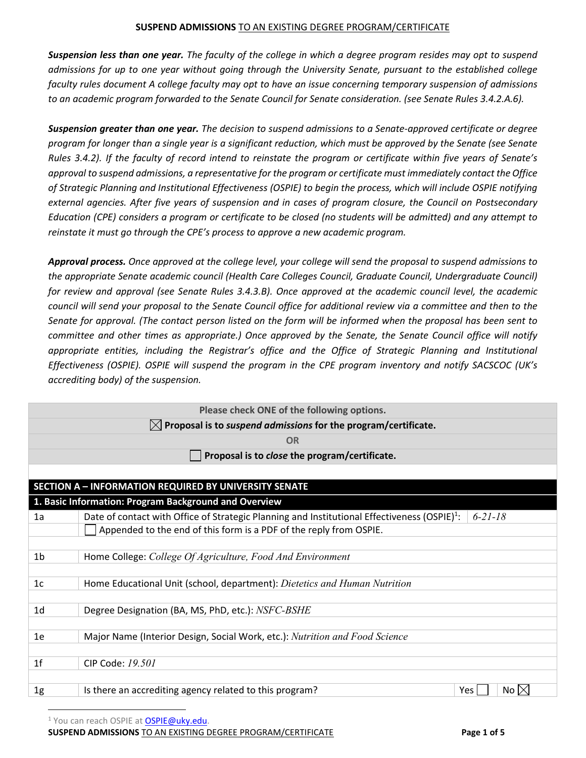*Suspension less than one year. The faculty of the college in which a degree program resides may opt to suspend admissions for up to one year without going through the University Senate, pursuant to the established college faculty rules document A college faculty may opt to have an issue concerning temporary suspension of admissions to an academic program forwarded to the Senate Council for Senate consideration. (see Senate Rules 3.4.2.A.6).*

*Suspension greater than one year. The decision to suspend admissions to a Senate-approved certificate or degree program for longer than a single year is a significant reduction, which must be approved by the Senate (see Senate Rules 3.4.2). If the faculty of record intend to reinstate the program or certificate within five years of Senate's approval to suspend admissions, a representative for the program or certificate must immediately contact the Office of Strategic Planning and Institutional Effectiveness (OSPIE) to begin the process, which will include OSPIE notifying external agencies. After five years of suspension and in cases of program closure, the Council on Postsecondary Education (CPE) considers a program or certificate to be closed (no students will be admitted) and any attempt to reinstate it must go through the CPE's process to approve a new academic program.*

*Approval process. Once approved at the college level, your college will send the proposal to suspend admissions to the appropriate Senate academic council (Health Care Colleges Council, Graduate Council, Undergraduate Council) for review and approval (see Senate Rules 3.4.3.B). Once approved at the academic council level, the academic council will send your proposal to the Senate Council office for additional review via a committee and then to the Senate for approval. (The contact person listed on the form will be informed when the proposal has been sent to committee and other times as appropriate.) Once approved by the Senate, the Senate Council office will notify appropriate entities, including the Registrar's office and the Office of Strategic Planning and Institutional Effectiveness (OSPIE). OSPIE will suspend the program in the CPE program inventory and notify SACSCOC (UK's accrediting body) of the suspension.* 

| Please check ONE of the following options. |                                                                                                                           |  |  |
|--------------------------------------------|---------------------------------------------------------------------------------------------------------------------------|--|--|
|                                            | $\boxtimes$ Proposal is to suspend admissions for the program/certificate.                                                |  |  |
|                                            | <b>OR</b>                                                                                                                 |  |  |
|                                            | Proposal is to close the program/certificate.                                                                             |  |  |
|                                            |                                                                                                                           |  |  |
|                                            | <b>SECTION A - INFORMATION REQUIRED BY UNIVERSITY SENATE</b>                                                              |  |  |
|                                            | 1. Basic Information: Program Background and Overview                                                                     |  |  |
| 1a                                         | Date of contact with Office of Strategic Planning and Institutional Effectiveness (OSPIE) <sup>1</sup> :<br>$6 - 21 - 18$ |  |  |
|                                            | Appended to the end of this form is a PDF of the reply from OSPIE.                                                        |  |  |
|                                            |                                                                                                                           |  |  |
| 1 <sub>b</sub>                             | Home College: College Of Agriculture, Food And Environment                                                                |  |  |
| 1 <sub>c</sub>                             | Home Educational Unit (school, department): Dietetics and Human Nutrition                                                 |  |  |
| 1 <sub>d</sub>                             | Degree Designation (BA, MS, PhD, etc.): NSFC-BSHE                                                                         |  |  |
| 1e                                         | Major Name (Interior Design, Social Work, etc.): Nutrition and Food Science                                               |  |  |
| 1 <sup>f</sup>                             | CIP Code: 19.501                                                                                                          |  |  |
| 1g                                         | Is there an accrediting agency related to this program?<br>No $\boxtimes$<br>Yes                                          |  |  |

<sup>1</sup> You can reach OSPIE at **OSPIE@uky.edu**.

**SUSPEND ADMISSIONS** TO AN EXISTING DEGREE PROGRAM/CERTIFICATE **Page 1 of 5**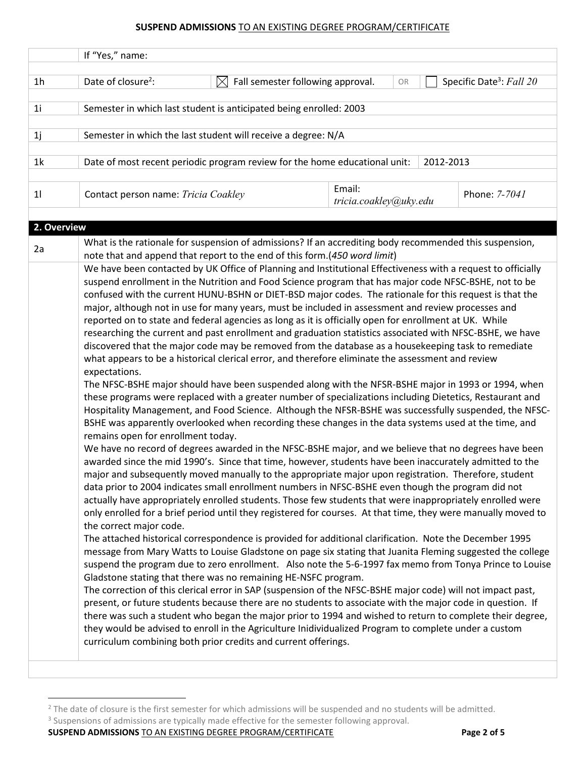|                | If "Yes," name:                                                                           |                                                |                                                                                                                                                                                                                                                                                                                                                                                                                                                                                                                                                                                                                                                                                                                                                                                                                                                                                                                                                                                                                                                                                                                                                                                                 |                                      |
|----------------|-------------------------------------------------------------------------------------------|------------------------------------------------|-------------------------------------------------------------------------------------------------------------------------------------------------------------------------------------------------------------------------------------------------------------------------------------------------------------------------------------------------------------------------------------------------------------------------------------------------------------------------------------------------------------------------------------------------------------------------------------------------------------------------------------------------------------------------------------------------------------------------------------------------------------------------------------------------------------------------------------------------------------------------------------------------------------------------------------------------------------------------------------------------------------------------------------------------------------------------------------------------------------------------------------------------------------------------------------------------|--------------------------------------|
| 1 <sub>h</sub> | Date of closure <sup>2</sup> :                                                            | Fall semester following approval.<br>$\bowtie$ | OR                                                                                                                                                                                                                                                                                                                                                                                                                                                                                                                                                                                                                                                                                                                                                                                                                                                                                                                                                                                                                                                                                                                                                                                              | Specific Date <sup>3</sup> : Fall 20 |
| 1 <sub>i</sub> | Semester in which last student is anticipated being enrolled: 2003                        |                                                |                                                                                                                                                                                                                                                                                                                                                                                                                                                                                                                                                                                                                                                                                                                                                                                                                                                                                                                                                                                                                                                                                                                                                                                                 |                                      |
| 1j             | Semester in which the last student will receive a degree: N/A                             |                                                |                                                                                                                                                                                                                                                                                                                                                                                                                                                                                                                                                                                                                                                                                                                                                                                                                                                                                                                                                                                                                                                                                                                                                                                                 |                                      |
| 1k             | Date of most recent periodic program review for the home educational unit:                |                                                | 2012-2013                                                                                                                                                                                                                                                                                                                                                                                                                                                                                                                                                                                                                                                                                                                                                                                                                                                                                                                                                                                                                                                                                                                                                                                       |                                      |
| 11             | Contact person name: Tricia Coakley                                                       |                                                | Email:<br>tricia.coakley@uky.edu                                                                                                                                                                                                                                                                                                                                                                                                                                                                                                                                                                                                                                                                                                                                                                                                                                                                                                                                                                                                                                                                                                                                                                | Phone: 7-7041                        |
| 2. Overview    |                                                                                           |                                                |                                                                                                                                                                                                                                                                                                                                                                                                                                                                                                                                                                                                                                                                                                                                                                                                                                                                                                                                                                                                                                                                                                                                                                                                 |                                      |
| 2a             | note that and append that report to the end of this form.(450 word limit)                 |                                                | What is the rationale for suspension of admissions? If an accrediting body recommended this suspension,<br>We have been contacted by UK Office of Planning and Institutional Effectiveness with a request to officially<br>suspend enrollment in the Nutrition and Food Science program that has major code NFSC-BSHE, not to be<br>confused with the current HUNU-BSHN or DIET-BSD major codes. The rationale for this request is that the                                                                                                                                                                                                                                                                                                                                                                                                                                                                                                                                                                                                                                                                                                                                                     |                                      |
|                | expectations.<br>remains open for enrollment today.                                       |                                                | major, although not in use for many years, must be included in assessment and review processes and<br>reported on to state and federal agencies as long as it is officially open for enrollment at UK. While<br>researching the current and past enrollment and graduation statistics associated with NFSC-BSHE, we have<br>discovered that the major code may be removed from the database as a housekeeping task to remediate<br>what appears to be a historical clerical error, and therefore eliminate the assessment and review<br>The NFSC-BSHE major should have been suspended along with the NFSR-BSHE major in 1993 or 1994, when<br>these programs were replaced with a greater number of specializations including Dietetics, Restaurant and<br>Hospitality Management, and Food Science. Although the NFSR-BSHE was successfully suspended, the NFSC-<br>BSHE was apparently overlooked when recording these changes in the data systems used at the time, and<br>We have no record of degrees awarded in the NFSC-BSHE major, and we believe that no degrees have been<br>awarded since the mid 1990's. Since that time, however, students have been inaccurately admitted to the |                                      |
|                | the correct major code.<br>Gladstone stating that there was no remaining HE-NSFC program. |                                                | major and subsequently moved manually to the appropriate major upon registration. Therefore, student<br>data prior to 2004 indicates small enrollment numbers in NFSC-BSHE even though the program did not<br>actually have appropriately enrolled students. Those few students that were inappropriately enrolled were<br>only enrolled for a brief period until they registered for courses. At that time, they were manually moved to<br>The attached historical correspondence is provided for additional clarification. Note the December 1995<br>message from Mary Watts to Louise Gladstone on page six stating that Juanita Fleming suggested the college<br>suspend the program due to zero enrollment. Also note the 5-6-1997 fax memo from Tonya Prince to Louise<br>The correction of this clerical error in SAP (suspension of the NFSC-BSHE major code) will not impact past,                                                                                                                                                                                                                                                                                                     |                                      |
|                | curriculum combining both prior credits and current offerings.                            |                                                | present, or future students because there are no students to associate with the major code in question. If<br>there was such a student who began the major prior to 1994 and wished to return to complete their degree,<br>they would be advised to enroll in the Agriculture Inidividualized Program to complete under a custom                                                                                                                                                                                                                                                                                                                                                                                                                                                                                                                                                                                                                                                                                                                                                                                                                                                                |                                      |

**SUSPEND ADMISSIONS** TO AN EXISTING DEGREE PROGRAM/CERTIFICATE **Page 2 of 5**

<sup>&</sup>lt;sup>2</sup> The date of closure is the first semester for which admissions will be suspended and no students will be admitted.

<sup>&</sup>lt;sup>3</sup> Suspensions of admissions are typically made effective for the semester following approval.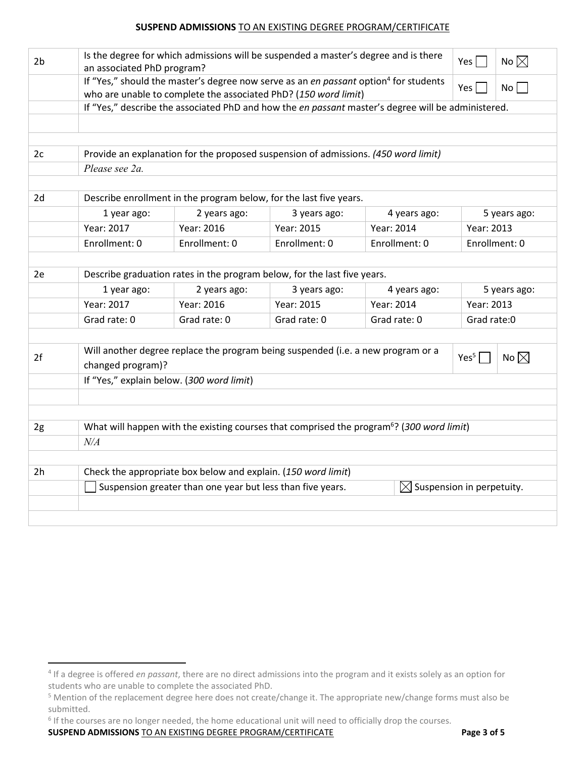| 2 <sub>b</sub>                                                                                                                  | Is the degree for which admissions will be suspended a master's degree and is there<br>No $\boxtimes$<br>Yes  <br>an associated PhD program?                                            |                                                                                                     |                |                                                                                                       |               |  |
|---------------------------------------------------------------------------------------------------------------------------------|-----------------------------------------------------------------------------------------------------------------------------------------------------------------------------------------|-----------------------------------------------------------------------------------------------------|----------------|-------------------------------------------------------------------------------------------------------|---------------|--|
|                                                                                                                                 | If "Yes," should the master's degree now serve as an en passant option <sup>4</sup> for students<br>$No \Box$<br>Yes<br>who are unable to complete the associated PhD? (150 word limit) |                                                                                                     |                |                                                                                                       |               |  |
|                                                                                                                                 | If "Yes," describe the associated PhD and how the en passant master's degree will be administered.                                                                                      |                                                                                                     |                |                                                                                                       |               |  |
|                                                                                                                                 |                                                                                                                                                                                         |                                                                                                     |                |                                                                                                       |               |  |
|                                                                                                                                 |                                                                                                                                                                                         |                                                                                                     |                |                                                                                                       |               |  |
| 2c                                                                                                                              |                                                                                                                                                                                         | Provide an explanation for the proposed suspension of admissions. (450 word limit)                  |                |                                                                                                       |               |  |
|                                                                                                                                 | Please see 2a.                                                                                                                                                                          |                                                                                                     |                |                                                                                                       |               |  |
| 2d                                                                                                                              |                                                                                                                                                                                         | Describe enrollment in the program below, for the last five years.                                  |                |                                                                                                       |               |  |
|                                                                                                                                 | 1 year ago:                                                                                                                                                                             | 2 years ago:                                                                                        | 3 years ago:   | 4 years ago:                                                                                          | 5 years ago:  |  |
|                                                                                                                                 | Year: 2017                                                                                                                                                                              | Year: 2016                                                                                          | Year: 2015     | Year: 2014                                                                                            | Year: 2013    |  |
|                                                                                                                                 | Enrollment: 0                                                                                                                                                                           | Enrollment: 0                                                                                       | Enrollment: 0  | Enrollment: 0                                                                                         | Enrollment: 0 |  |
|                                                                                                                                 |                                                                                                                                                                                         |                                                                                                     |                |                                                                                                       |               |  |
| 2e                                                                                                                              |                                                                                                                                                                                         | Describe graduation rates in the program below, for the last five years.                            |                |                                                                                                       |               |  |
|                                                                                                                                 | 1 year ago:                                                                                                                                                                             | 2 years ago:                                                                                        | 3 years ago:   | 4 years ago:                                                                                          | 5 years ago:  |  |
|                                                                                                                                 | Year: 2017                                                                                                                                                                              | Year: 2016                                                                                          | Year: 2015     | Year: 2014                                                                                            | Year: 2013    |  |
|                                                                                                                                 | Grad rate: 0                                                                                                                                                                            | Grad rate: 0                                                                                        | Grad rate: 0   | Grad rate: 0                                                                                          | Grad rate:0   |  |
|                                                                                                                                 |                                                                                                                                                                                         |                                                                                                     |                |                                                                                                       |               |  |
| Will another degree replace the program being suspended (i.e. a new program or a<br>2f<br>Yes <sup>5</sup><br>changed program)? |                                                                                                                                                                                         |                                                                                                     | No $\boxtimes$ |                                                                                                       |               |  |
|                                                                                                                                 |                                                                                                                                                                                         | If "Yes," explain below. (300 word limit)                                                           |                |                                                                                                       |               |  |
|                                                                                                                                 |                                                                                                                                                                                         |                                                                                                     |                |                                                                                                       |               |  |
|                                                                                                                                 |                                                                                                                                                                                         |                                                                                                     |                |                                                                                                       |               |  |
| 2g                                                                                                                              |                                                                                                                                                                                         |                                                                                                     |                | What will happen with the existing courses that comprised the program <sup>6</sup> ? (300 word limit) |               |  |
|                                                                                                                                 | $N\!/\!A$                                                                                                                                                                               |                                                                                                     |                |                                                                                                       |               |  |
|                                                                                                                                 |                                                                                                                                                                                         |                                                                                                     |                |                                                                                                       |               |  |
| 2h                                                                                                                              |                                                                                                                                                                                         | Check the appropriate box below and explain. (150 word limit)                                       |                |                                                                                                       |               |  |
|                                                                                                                                 |                                                                                                                                                                                         | Suspension greater than one year but less than five years.<br>$\boxtimes$ Suspension in perpetuity. |                |                                                                                                       |               |  |
|                                                                                                                                 |                                                                                                                                                                                         |                                                                                                     |                |                                                                                                       |               |  |
|                                                                                                                                 |                                                                                                                                                                                         |                                                                                                     |                |                                                                                                       |               |  |

**SUSPEND ADMISSIONS** TO AN EXISTING DEGREE PROGRAM/CERTIFICATE **Page 3 of 5**

 <sup>4</sup> If a degree is offered *en passant*, there are no direct admissions into the program and it exists solely as an option for students who are unable to complete the associated PhD.

<sup>5</sup> Mention of the replacement degree here does not create/change it. The appropriate new/change forms must also be submitted.

<sup>&</sup>lt;sup>6</sup> If the courses are no longer needed, the home educational unit will need to officially drop the courses.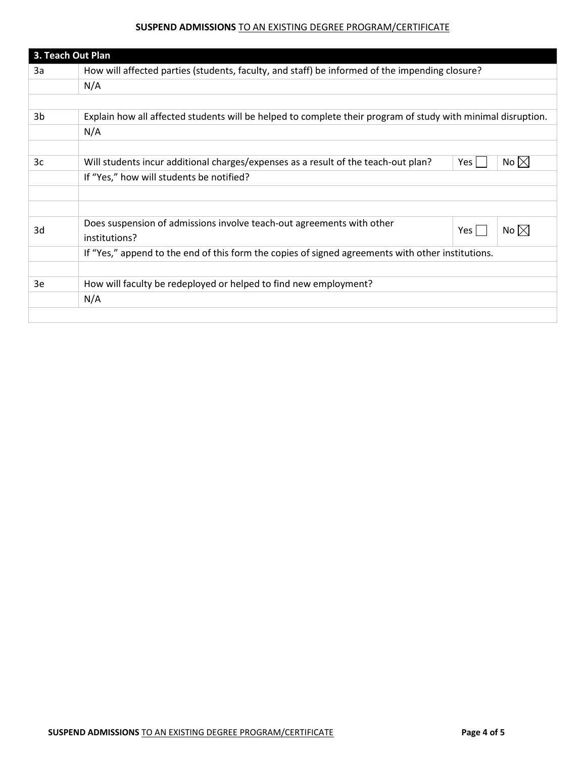|    | 3. Teach Out Plan                                                                                            |  |  |
|----|--------------------------------------------------------------------------------------------------------------|--|--|
| За | How will affected parties (students, faculty, and staff) be informed of the impending closure?               |  |  |
|    | N/A                                                                                                          |  |  |
|    |                                                                                                              |  |  |
| 3b | Explain how all affected students will be helped to complete their program of study with minimal disruption. |  |  |
|    | N/A                                                                                                          |  |  |
|    |                                                                                                              |  |  |
| 3c | No $\boxtimes$<br>Will students incur additional charges/expenses as a result of the teach-out plan?<br>Yes  |  |  |
|    | If "Yes," how will students be notified?                                                                     |  |  |
|    |                                                                                                              |  |  |
|    |                                                                                                              |  |  |
| 3d | Does suspension of admissions involve teach-out agreements with other<br>No $\boxtimes$<br>Yes               |  |  |
|    | institutions?                                                                                                |  |  |
|    | If "Yes," append to the end of this form the copies of signed agreements with other institutions.            |  |  |
|    |                                                                                                              |  |  |
| 3e | How will faculty be redeployed or helped to find new employment?                                             |  |  |
|    | N/A                                                                                                          |  |  |
|    |                                                                                                              |  |  |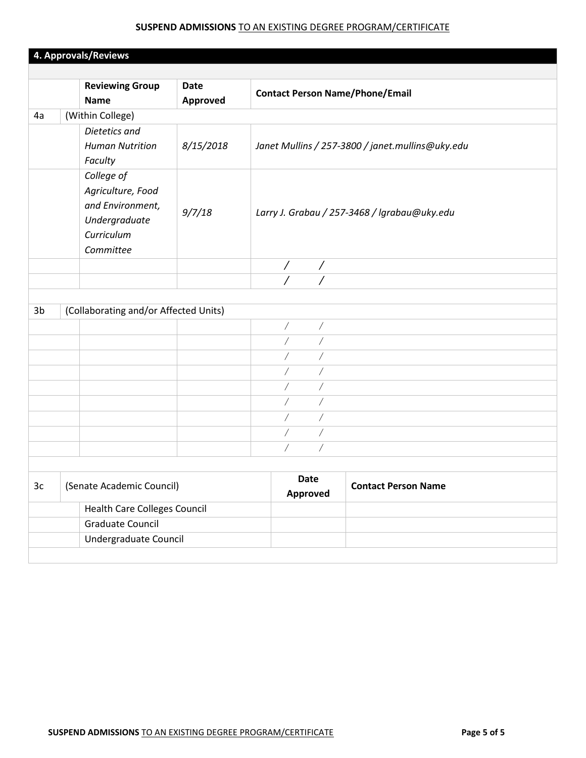|                | <b>Reviewing Group</b>                                                                          | <b>Date</b> | <b>Contact Person Name/Phone/Email</b>               |                                                  |
|----------------|-------------------------------------------------------------------------------------------------|-------------|------------------------------------------------------|--------------------------------------------------|
|                | <b>Name</b>                                                                                     | Approved    |                                                      |                                                  |
| 4a             | (Within College)                                                                                |             |                                                      |                                                  |
|                | Dietetics and<br><b>Human Nutrition</b><br>Faculty                                              | 8/15/2018   |                                                      | Janet Mullins / 257-3800 / janet.mullins@uky.edu |
|                | College of<br>Agriculture, Food<br>and Environment,<br>Undergraduate<br>Curriculum<br>Committee | 9/7/18      |                                                      | Larry J. Grabau / 257-3468 / Igrabau@uky.edu     |
|                |                                                                                                 |             | $\overline{1}$<br>$\overline{\phantom{a}}$           |                                                  |
|                |                                                                                                 |             |                                                      |                                                  |
|                |                                                                                                 |             |                                                      |                                                  |
| 3 <sub>b</sub> | (Collaborating and/or Affected Units)                                                           |             |                                                      |                                                  |
|                |                                                                                                 |             | $\overline{ }$<br>$\sqrt{2}$                         |                                                  |
|                |                                                                                                 |             | $\overline{\phantom{a}}$<br>$\overline{\phantom{a}}$ |                                                  |
|                |                                                                                                 |             | Τ                                                    |                                                  |
|                |                                                                                                 |             | Τ                                                    |                                                  |
|                |                                                                                                 |             | $\overline{1}$<br>$\overline{1}$                     |                                                  |
|                |                                                                                                 |             | Τ                                                    |                                                  |
|                |                                                                                                 |             | $\sqrt{2}$                                           |                                                  |
|                |                                                                                                 |             | $\overline{\phantom{a}}$<br>$\overline{1}$           |                                                  |
|                |                                                                                                 |             | Γ<br>Τ                                               |                                                  |
|                |                                                                                                 |             |                                                      |                                                  |
| 3c             | (Senate Academic Council)                                                                       |             | Date<br>Approved                                     | <b>Contact Person Name</b>                       |
|                | Health Care Colleges Council                                                                    |             |                                                      |                                                  |
|                | <b>Graduate Council</b>                                                                         |             |                                                      |                                                  |
|                | Undergraduate Council                                                                           |             |                                                      |                                                  |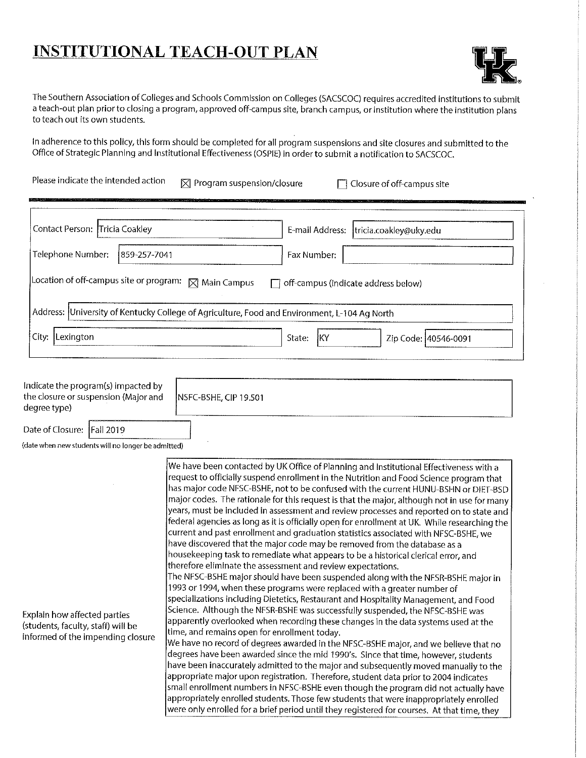# **INSTITUTIONAL TEACH-OUT PLAN**



The Southern Association of Colleges and Schools Commission on Colleges (SACSCOC) requires accredited institutions to submit a teach-out plan prior to closing a program, approved off-campus site, branch campus, or institution where the institution plans to teach out its own students.

In adherence to this policy, this form should be completed for all program suspensions and site closures and submitted to the Office of Strategic Planning and Institutional Effectiveness (OSPIE) in order to submit a notification to SACSCOC.

| Please indicate the intended action | $\boxtimes$ Program suspension/closure | $\Box$ Closure of off-campus site |
|-------------------------------------|----------------------------------------|-----------------------------------|
|-------------------------------------|----------------------------------------|-----------------------------------|

| Contact Person: Tricia Coakley                                                               |                                                                 | tricia.coakley@uky.edu<br>E-mail Address:  |  |  |
|----------------------------------------------------------------------------------------------|-----------------------------------------------------------------|--------------------------------------------|--|--|
| Telephone Number:                                                                            | 1859-257-7041                                                   | Fax Number:                                |  |  |
|                                                                                              | Location of off-campus site or program: $\boxtimes$ Main Campus | $\Box$ off-campus (indicate address below) |  |  |
| Address: University of Kentucky College of Agriculture, Food and Environment, L-104 Ag North |                                                                 |                                            |  |  |
| City:<br>Lexington                                                                           |                                                                 | State:<br>ïΚY<br>Zip Code: 40546-0091      |  |  |

Indicate the program(s) impacted by the closure or suspension (Major and degree type)

NSFC-BSHE, CIP 19.501

Date of Closure: Fall 2019

(date when new students will no longer be admitted)

|                                    | We have been contacted by UK Office of Planning and Institutional Effectiveness with a          |
|------------------------------------|-------------------------------------------------------------------------------------------------|
|                                    | request to officially suspend enrollment in the Nutrition and Food Science program that         |
|                                    | has major code NFSC-BSHE, not to be confused with the current HUNU-BSHN or DIET-BSD             |
|                                    | $ $ major codes. The rationale for this request is that the major, although not in use for many |
|                                    | years, must be included in assessment and review processes and reported on to state and         |
|                                    | federal agencies as long as it is officially open for enrollment at UK. While researching the   |
|                                    | current and past enrollment and graduation statistics associated with NFSC-BSHE, we             |
|                                    | have discovered that the major code may be removed from the database as a                       |
|                                    | housekeeping task to remediate what appears to be a historical clerical error, and              |
|                                    | therefore eliminate the assessment and review expectations.                                     |
|                                    | The NFSC-BSHE major should have been suspended along with the NFSR-BSHE major in                |
|                                    | 1993 or 1994, when these programs were replaced with a greater number of                        |
|                                    | specializations including Dietetics, Restaurant and Hospitality Management, and Food            |
| Explain how affected parties       | Science. Although the NFSR-BSHE was successfully suspended, the NFSC-BSHE was                   |
| (students, faculty, staff) will be | apparently overlooked when recording these changes in the data systems used at the              |
| informed of the impending closure  | time, and remains open for enrollment today.                                                    |
|                                    | We have no record of degrees awarded in the NFSC-BSHE major, and we believe that no             |
|                                    | degrees have been awarded since the mid 1990's. Since that time, however, students              |
|                                    | have been inaccurately admitted to the major and subsequently moved manually to the             |
|                                    | appropriate major upon registration. Therefore, student data prior to 2004 indicates            |
|                                    | small enrollment numbers in NFSC-BSHE even though the program did not actually have             |
|                                    | appropriately enrolled students. Those few students that were inappropriately enrolled          |
|                                    | were only enrolled for a brief period until they registered for courses. At that time, they     |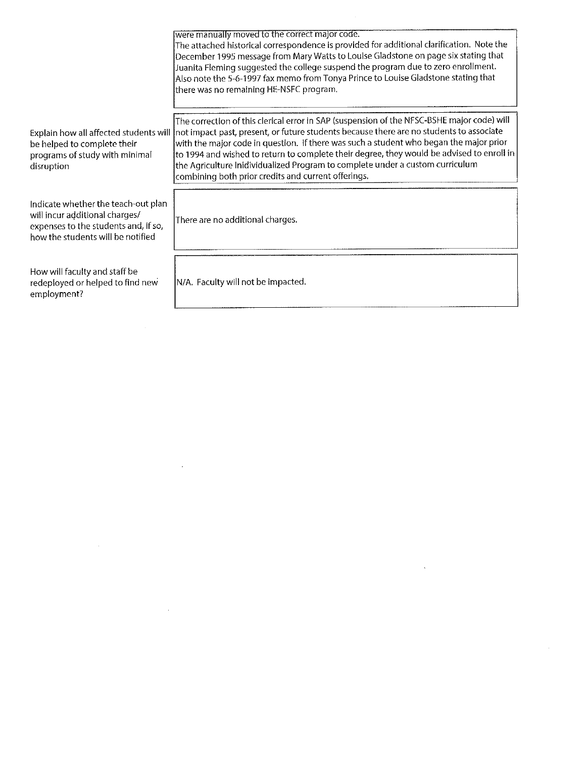|                                                                                                                                                    | were manually moved to the correct major code.<br>The attached historical correspondence is provided for additional clarification. Note the<br>December 1995 message from Mary Watts to Louise Gladstone on page six stating that<br>Juanita Fleming suggested the college suspend the program due to zero enrollment.<br>Also note the 5-6-1997 fax memo from Tonya Prince to Louise Gladstone stating that<br>there was no remaining HE-NSFC program.                                                               |
|----------------------------------------------------------------------------------------------------------------------------------------------------|-----------------------------------------------------------------------------------------------------------------------------------------------------------------------------------------------------------------------------------------------------------------------------------------------------------------------------------------------------------------------------------------------------------------------------------------------------------------------------------------------------------------------|
| Explain how all affected students will<br>be helped to complete their<br>programs of study with minimal<br>disruption                              | The correction of this clerical error in SAP (suspension of the NFSC-BSHE major code) will<br>Inot impact past, present, or future students because there are no students to associate<br>with the major code in question. If there was such a student who began the major prior<br>to 1994 and wished to return to complete their degree, they would be advised to enroll in<br>the Agriculture Inidividualized Program to complete under a custom curriculum<br>combining both prior credits and current offerings. |
| Indicate whether the teach-out plan<br>will incur additional charges/<br>expenses to the students and, if so,<br>how the students will be notified | There are no additional charges.                                                                                                                                                                                                                                                                                                                                                                                                                                                                                      |
| How will faculty and staff be<br>redeployed or helped to find new<br>employment?                                                                   | N/A. Faculty will not be impacted.                                                                                                                                                                                                                                                                                                                                                                                                                                                                                    |

 $\mathcal{L}^{\text{max}}_{\text{max}}$  and  $\mathcal{L}^{\text{max}}_{\text{max}}$ 

 $\label{eq:2.1} \mathcal{L}(\mathcal{L}^{\mathcal{L}}_{\mathcal{L}}(\mathcal{L}^{\mathcal{L}}_{\mathcal{L}})) = \mathcal{L}(\mathcal{L}^{\mathcal{L}}_{\mathcal{L}}(\mathcal{L}^{\mathcal{L}}_{\mathcal{L}})) = \mathcal{L}(\mathcal{L}^{\mathcal{L}}_{\mathcal{L}}(\mathcal{L}^{\mathcal{L}}_{\mathcal{L}}))$ 

 $\label{eq:2.1} \frac{1}{2} \sum_{i=1}^n \frac{1}{2} \sum_{j=1}^n \frac{1}{2} \sum_{j=1}^n \frac{1}{2} \sum_{j=1}^n \frac{1}{2} \sum_{j=1}^n \frac{1}{2} \sum_{j=1}^n \frac{1}{2} \sum_{j=1}^n \frac{1}{2} \sum_{j=1}^n \frac{1}{2} \sum_{j=1}^n \frac{1}{2} \sum_{j=1}^n \frac{1}{2} \sum_{j=1}^n \frac{1}{2} \sum_{j=1}^n \frac{1}{2} \sum_{j=1}^n \frac{$ 

 $\label{eq:2.1} \frac{1}{\sqrt{2}}\left(\frac{1}{\sqrt{2}}\right)^{2} \left(\frac{1}{\sqrt{2}}\right)^{2} \left(\frac{1}{\sqrt{2}}\right)^{2} \left(\frac{1}{\sqrt{2}}\right)^{2} \left(\frac{1}{\sqrt{2}}\right)^{2} \left(\frac{1}{\sqrt{2}}\right)^{2} \left(\frac{1}{\sqrt{2}}\right)^{2} \left(\frac{1}{\sqrt{2}}\right)^{2} \left(\frac{1}{\sqrt{2}}\right)^{2} \left(\frac{1}{\sqrt{2}}\right)^{2} \left(\frac{1}{\sqrt{2}}\right)^{2} \left(\$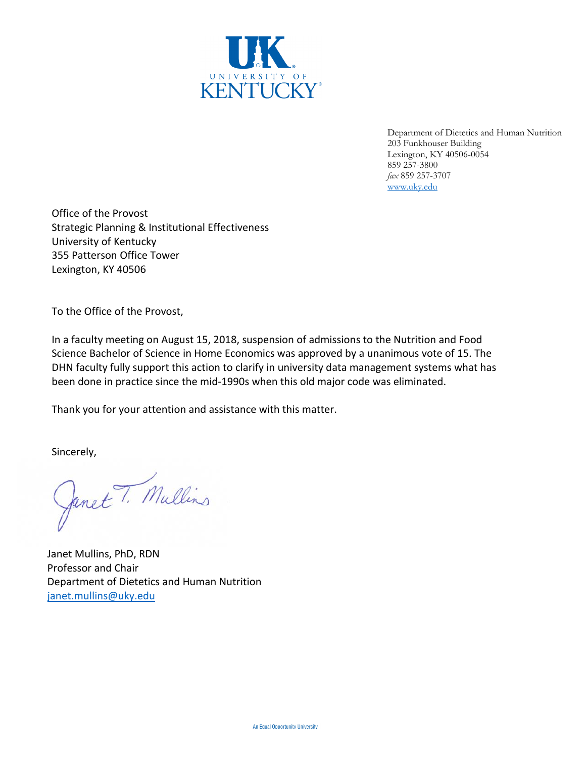

Department of Dietetics and Human Nutrition 203 Funkhouser Building Lexington, KY 40506-0054 859 257-3800 *fax* 859 257-3707 [www.uky.edu](http://www.uky.edu/)

Office of the Provost Strategic Planning & Institutional Effectiveness University of Kentucky 355 Patterson Office Tower Lexington, KY 40506

To the Office of the Provost,

In a faculty meeting on August 15, 2018, suspension of admissions to the Nutrition and Food Science Bachelor of Science in Home Economics was approved by a unanimous vote of 15. The DHN faculty fully support this action to clarify in university data management systems what has been done in practice since the mid-1990s when this old major code was eliminated.

Thank you for your attention and assistance with this matter.

Sincerely,

Janet T. Mullins

Janet Mullins, PhD, RDN Professor and Chair Department of Dietetics and Human Nutrition [janet.mullins@uky.edu](mailto:janet.mullins@uky.edu)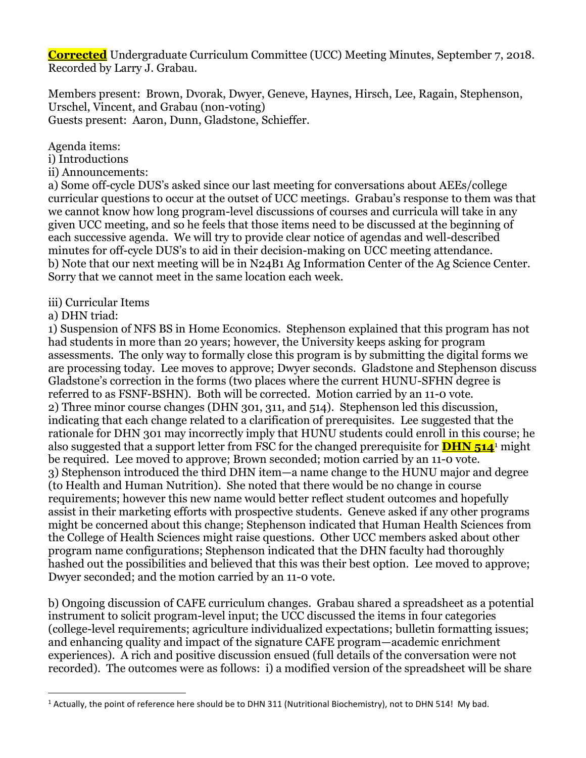**Corrected** Undergraduate Curriculum Committee (UCC) Meeting Minutes, September 7, 2018. Recorded by Larry J. Grabau.

Members present: Brown, Dvorak, Dwyer, Geneve, Haynes, Hirsch, Lee, Ragain, Stephenson, Urschel, Vincent, and Grabau (non-voting) Guests present: Aaron, Dunn, Gladstone, Schieffer.

Agenda items:

- i) Introductions
- ii) Announcements:

a) Some off-cycle DUS's asked since our last meeting for conversations about AEEs/college curricular questions to occur at the outset of UCC meetings. Grabau's response to them was that we cannot know how long program-level discussions of courses and curricula will take in any given UCC meeting, and so he feels that those items need to be discussed at the beginning of each successive agenda. We will try to provide clear notice of agendas and well-described minutes for off-cycle DUS's to aid in their decision-making on UCC meeting attendance. b) Note that our next meeting will be in N24B1 Ag Information Center of the Ag Science Center. Sorry that we cannot meet in the same location each week.

- iii) Curricular Items
- a) DHN triad:

 $\overline{a}$ 

1) Suspension of NFS BS in Home Economics. Stephenson explained that this program has not had students in more than 20 years; however, the University keeps asking for program assessments. The only way to formally close this program is by submitting the digital forms we are processing today. Lee moves to approve; Dwyer seconds. Gladstone and Stephenson discuss Gladstone's correction in the forms (two places where the current HUNU-SFHN degree is referred to as FSNF-BSHN). Both will be corrected. Motion carried by an 11-0 vote. 2) Three minor course changes (DHN 301, 311, and 514). Stephenson led this discussion, indicating that each change related to a clarification of prerequisites. Lee suggested that the rationale for DHN 301 may incorrectly imply that HUNU students could enroll in this course; he also suggested that a support letter from FSC for the changed prerequisite for **DHN 514**<sup>1</sup> might be required. Lee moved to approve; Brown seconded; motion carried by an 11-0 vote. 3) Stephenson introduced the third DHN item—a name change to the HUNU major and degree (to Health and Human Nutrition). She noted that there would be no change in course requirements; however this new name would better reflect student outcomes and hopefully assist in their marketing efforts with prospective students. Geneve asked if any other programs might be concerned about this change; Stephenson indicated that Human Health Sciences from the College of Health Sciences might raise questions. Other UCC members asked about other program name configurations; Stephenson indicated that the DHN faculty had thoroughly hashed out the possibilities and believed that this was their best option. Lee moved to approve; Dwyer seconded; and the motion carried by an 11-0 vote.

b) Ongoing discussion of CAFE curriculum changes. Grabau shared a spreadsheet as a potential instrument to solicit program-level input; the UCC discussed the items in four categories (college-level requirements; agriculture individualized expectations; bulletin formatting issues; and enhancing quality and impact of the signature CAFE program—academic enrichment experiences). A rich and positive discussion ensued (full details of the conversation were not recorded). The outcomes were as follows: i) a modified version of the spreadsheet will be share

<sup>&</sup>lt;sup>1</sup> Actually, the point of reference here should be to DHN 311 (Nutritional Biochemistry), not to DHN 514! My bad.